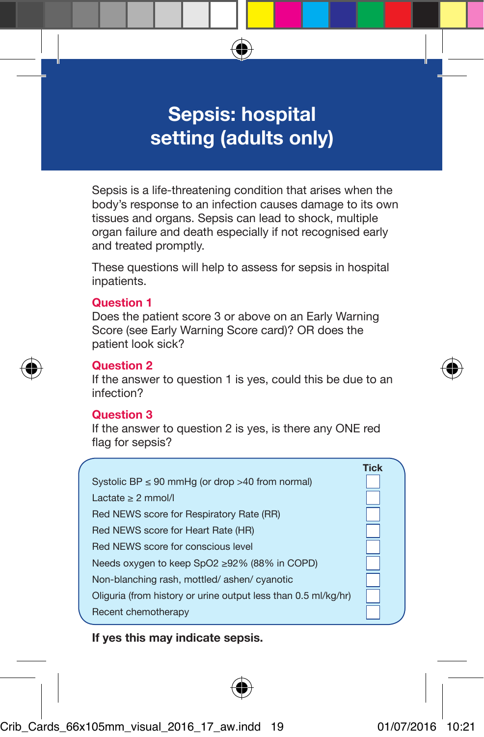# **Sepsis: hospital setting (adults only)**

Sepsis is a life-threatening condition that arises when the body's response to an infection causes damage to its own tissues and organs. Sepsis can lead to shock, multiple organ failure and death especially if not recognised early and treated promptly.

These questions will help to assess for sepsis in hospital inpatients.

#### **Question 1**

Does the patient score 3 or above on an Early Warning Score (see Early Warning Score card)? OR does the patient look sick?

#### **Question 2**

If the answer to question 1 is yes, could this be due to an infection?

#### **Question 3**

If the answer to question 2 is yes, is there any ONE red flag for sepsis?

|                                                                | <b>Tick</b> |
|----------------------------------------------------------------|-------------|
| Systolic BP $\leq$ 90 mmHg (or drop >40 from normal)           |             |
| Lactate > 2 mmol/l                                             |             |
| Red NEWS score for Respiratory Rate (RR)                       |             |
| Red NEWS score for Heart Rate (HR)                             |             |
| Red NEWS score for conscious level                             |             |
| Needs oxygen to keep SpO2 ≥92% (88% in COPD)                   |             |
| Non-blanching rash, mottled/ashen/cyanotic                     |             |
| Oliguria (from history or urine output less than 0.5 ml/kg/hr) |             |
| Recent chemotherapy                                            |             |

#### **If yes this may indicate sepsis.**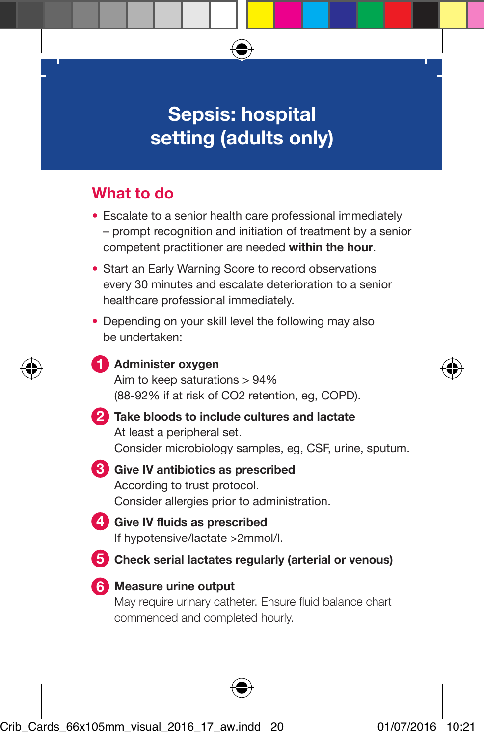# **Sepsis: hospital setting (adults only)**

## **What to do**

- Escalate to a senior health care professional immediately – prompt recognition and initiation of treatment by a senior competent practitioner are needed **within the hour**.
- Start an Early Warning Score to record observations every 30 minutes and escalate deterioration to a senior healthcare professional immediately.
- Depending on your skill level the following may also be undertaken:
- **Administer oxygen 1** Aim to keep saturations > 94% (88-92% if at risk of CO2 retention, eg, COPD).
- **Take bloods to include cultures and lactate 2** At least a peripheral set. Consider microbiology samples, eg, CSF, urine, sputum.
- **Give IV antibiotics as prescribed 3** According to trust protocol. Consider allergies prior to administration.
- **Give IV fluids as prescribed 4** If hypotensive/lactate >2mmol/l.
- **5** Check serial lactates regularly (arterial or venous)
- **Measure urine output 6** May require urinary catheter. Ensure fluid balance chart commenced and completed hourly.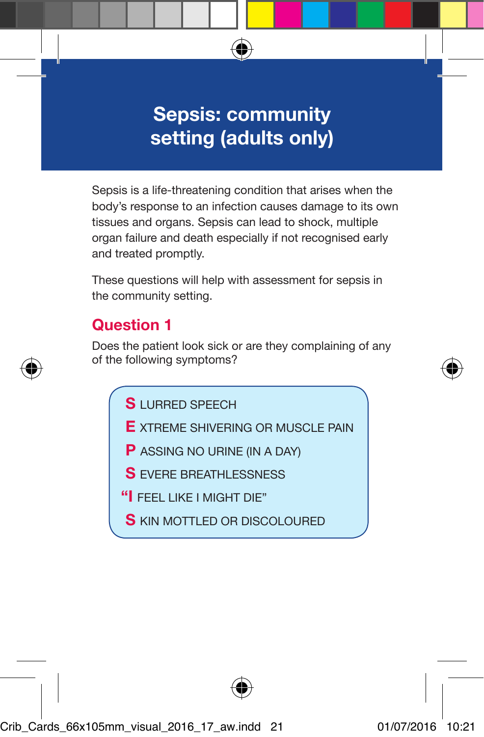# **Sepsis: community setting (adults only)**

Sepsis is a life-threatening condition that arises when the body's response to an infection causes damage to its own tissues and organs. Sepsis can lead to shock, multiple organ failure and death especially if not recognised early and treated promptly.

These questions will help with assessment for sepsis in the community setting.

### **Question 1**

Does the patient look sick or are they complaining of any of the following symptoms?